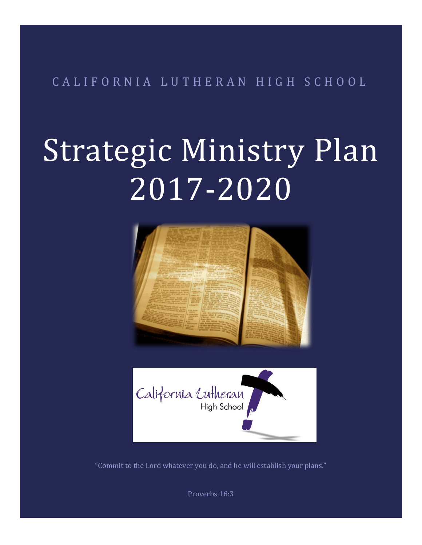C A L I F O R N I A L U T H E R A N H I G H S C H O O L

# Strategic Ministry Plan 2017-2020





"Commit to the Lord whatever you do, and he will establish your plans."

Proverbs 16:3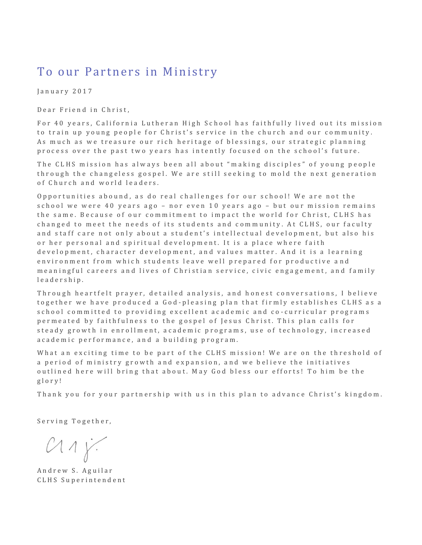### To our Partners in Ministry

January 2017

Dear Friend in Christ,

For 40 years, California Lutheran High School has faithfully lived out its mission to train up young people for Christ's service in the church and our community. As much as we treasure our rich heritage of blessings, our strategic planning process over the past two years has intently focused on the school's future.

The CLHS mission has always been all about "making disciples" of young people through the changeless gospel. We are still seeking to mold the next generation of Church and world leaders.

Opportunities abound, as do real challenges for our school! We are not the school we were 40 years ago – nor even 10 years ago – but our mission remains the same. Because of our commitment to impact the world for Christ, CLHS has changed to meet the needs of its students and community. At CLHS, our faculty and staff care not only about a student's intellectual development, but also his or her personal and spiritual development. It is a place where faith development, character development, and values matter. And it is a learning environment from which students leave well prepared for productive and me aning ful careers and lives of Christian service, civic engagement, and family l e a d e r s h i p .

Through heartfelt prayer, detailed analysis, and honest conversations, I believe together we have produced a God-pleasing plan that firmly establishes CLHS as a s c h o o l c o m m itted to providing excellent a cademic and co-curricular programs permeated by faithfulness to the gospel of Jesus Christ. This plan calls for steady growth in enrollment, academic programs, use of technology, increased a c a d e m i c p e r f o r m a n c e, and a building program.

What an exciting time to be part of the CLHS mission! We are on the threshold of a period of ministry growth and expansion, and we believe the initiatives outlined here will bring that about. May God bless our efforts! To him be the g l o r y !

Thank you for your partnership with us in this plan to advance Christ's kingdom.

Serving Together,

 $C11y$ 

Andrew S. Aguilar CLHS Superintendent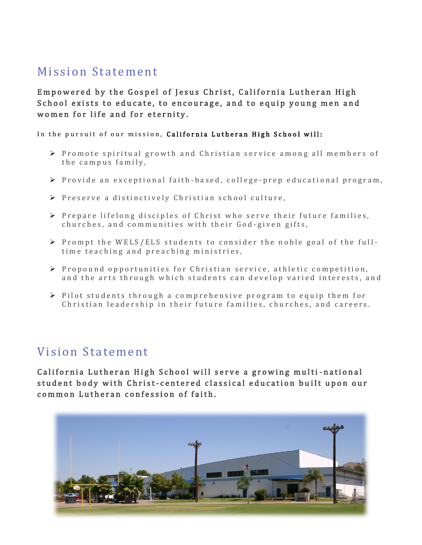## Mission Statement

Empowered by the Gospel of Jesus Christ, California Lutheran High School exists to educate, to encourage, and to equip young men and women for life and for eternity.

In the pursuit of our mission, California Lutheran High School will:

- $\triangleright$  Promote spiritual growth and Christian service among all members of the campus family,
- P rovide an exceptional faith-based, college-prep educational program,
- $\triangleright$  Preserve a distinctively Christian school culture,
- $\triangleright$  P r e p a r e l i f e long disciples of Christ who serve their future families, churches, and communities with their God-given gifts,
- $\triangleright$  Prompt the WELS/ELS students to consider the noble goal of the fulltime teaching and preaching ministries,
- $\triangleright$  Propound opportunities for Christian service, athletic competition. and the arts through which students can develop varied interests, and
- $\triangleright$  Pilot students through a comprehensive program to equip them for Christian leadership in their future families, churches, and careers.

#### Vision Statement

California Lutheran High School will serve a growing multi-national student body with Christ-centered classical education built upon our common Lutheran confession of faith.